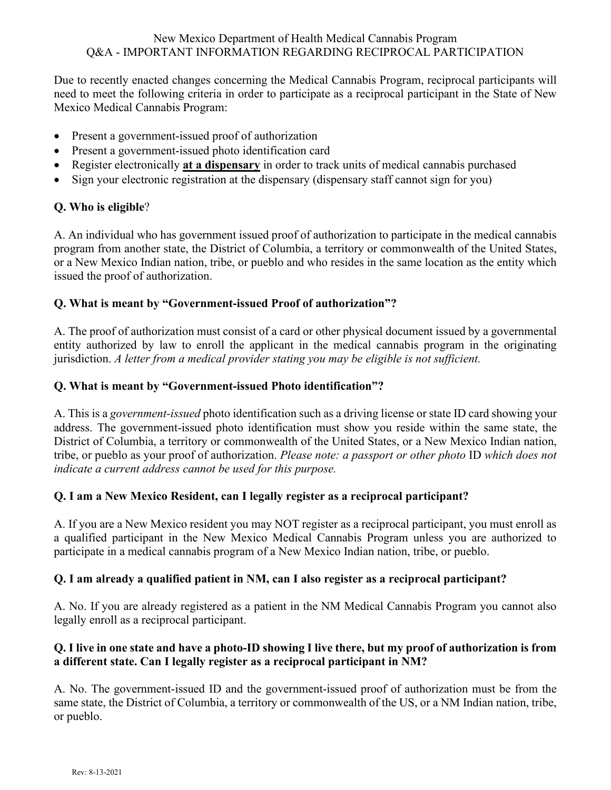#### New Mexico Department of Health Medical Cannabis Program Q&A - IMPORTANT INFORMATION REGARDING RECIPROCAL PARTICIPATION

Due to recently enacted changes concerning the Medical Cannabis Program, reciprocal participants will need to meet the following criteria in order to participate as a reciprocal participant in the State of New Mexico Medical Cannabis Program:

- Present a government-issued proof of authorization
- Present a government-issued photo identification card
- Register electronically **at a dispensary** in order to track units of medical cannabis purchased
- Sign your electronic registration at the dispensary (dispensary staff cannot sign for you)

# **Q. Who is eligible**?

A. An individual who has government issued proof of authorization to participate in the medical cannabis program from another state, the District of Columbia, a territory or commonwealth of the United States, or a New Mexico Indian nation, tribe, or pueblo and who resides in the same location as the entity which issued the proof of authorization.

## **Q. What is meant by "Government-issued Proof of authorization"?**

A. The proof of authorization must consist of a card or other physical document issued by a governmental entity authorized by law to enroll the applicant in the medical cannabis program in the originating jurisdiction. *A letter from a medical provider stating you may be eligible is not sufficient.*

## **Q. What is meant by "Government-issued Photo identification"?**

A. This is a *government-issued* photo identification such as a driving license or state ID card showing your address. The government-issued photo identification must show you reside within the same state, the District of Columbia, a territory or commonwealth of the United States, or a New Mexico Indian nation, tribe, or pueblo as your proof of authorization. *Please note: a passport or other photo* ID *which does not indicate a current address cannot be used for this purpose.*

# **Q. I am a New Mexico Resident, can I legally register as a reciprocal participant?**

A. If you are a New Mexico resident you may NOT register as a reciprocal participant, you must enroll as a qualified participant in the New Mexico Medical Cannabis Program unless you are authorized to participate in a medical cannabis program of a New Mexico Indian nation, tribe, or pueblo.

# **Q. I am already a qualified patient in NM, can I also register as a reciprocal participant?**

A. No. If you are already registered as a patient in the NM Medical Cannabis Program you cannot also legally enroll as a reciprocal participant.

## **Q. I live in one state and have a photo-ID showing I live there, but my proof of authorization is from a different state. Can I legally register as a reciprocal participant in NM?**

A. No. The government-issued ID and the government-issued proof of authorization must be from the same state, the District of Columbia, a territory or commonwealth of the US, or a NM Indian nation, tribe, or pueblo.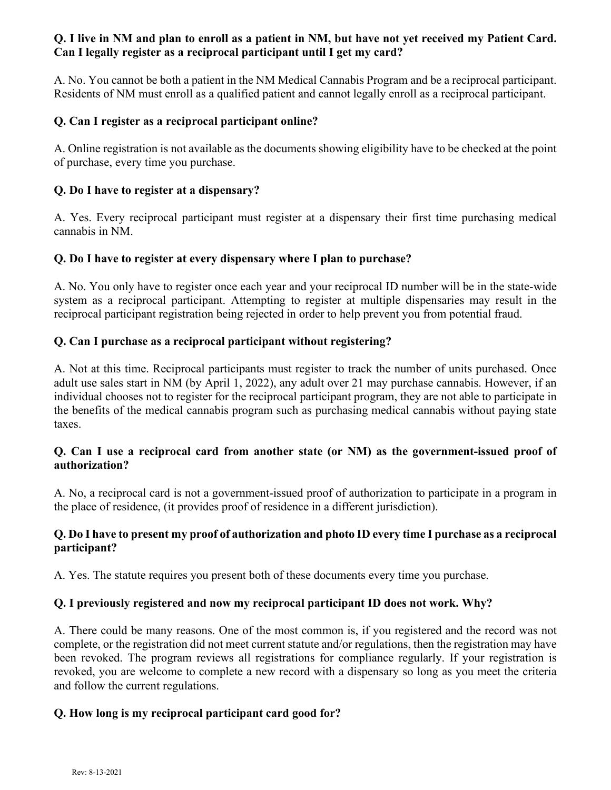## **Q. I live in NM and plan to enroll as a patient in NM, but have not yet received my Patient Card. Can I legally register as a reciprocal participant until I get my card?**

A. No. You cannot be both a patient in the NM Medical Cannabis Program and be a reciprocal participant. Residents of NM must enroll as a qualified patient and cannot legally enroll as a reciprocal participant.

#### **Q. Can I register as a reciprocal participant online?**

A. Online registration is not available as the documents showing eligibility have to be checked at the point of purchase, every time you purchase.

#### **Q. Do I have to register at a dispensary?**

A. Yes. Every reciprocal participant must register at a dispensary their first time purchasing medical cannabis in NM.

#### **Q. Do I have to register at every dispensary where I plan to purchase?**

A. No. You only have to register once each year and your reciprocal ID number will be in the state-wide system as a reciprocal participant. Attempting to register at multiple dispensaries may result in the reciprocal participant registration being rejected in order to help prevent you from potential fraud.

#### **Q. Can I purchase as a reciprocal participant without registering?**

A. Not at this time. Reciprocal participants must register to track the number of units purchased. Once adult use sales start in NM (by April 1, 2022), any adult over 21 may purchase cannabis. However, if an individual chooses not to register for the reciprocal participant program, they are not able to participate in the benefits of the medical cannabis program such as purchasing medical cannabis without paying state taxes.

#### **Q. Can I use a reciprocal card from another state (or NM) as the government-issued proof of authorization?**

A. No, a reciprocal card is not a government-issued proof of authorization to participate in a program in the place of residence, (it provides proof of residence in a different jurisdiction).

## **Q. Do I have to present my proof of authorization and photo ID every time I purchase as a reciprocal participant?**

A. Yes. The statute requires you present both of these documents every time you purchase.

## **Q. I previously registered and now my reciprocal participant ID does not work. Why?**

A. There could be many reasons. One of the most common is, if you registered and the record was not complete, or the registration did not meet current statute and/or regulations, then the registration may have been revoked. The program reviews all registrations for compliance regularly. If your registration is revoked, you are welcome to complete a new record with a dispensary so long as you meet the criteria and follow the current regulations.

## **Q. How long is my reciprocal participant card good for?**